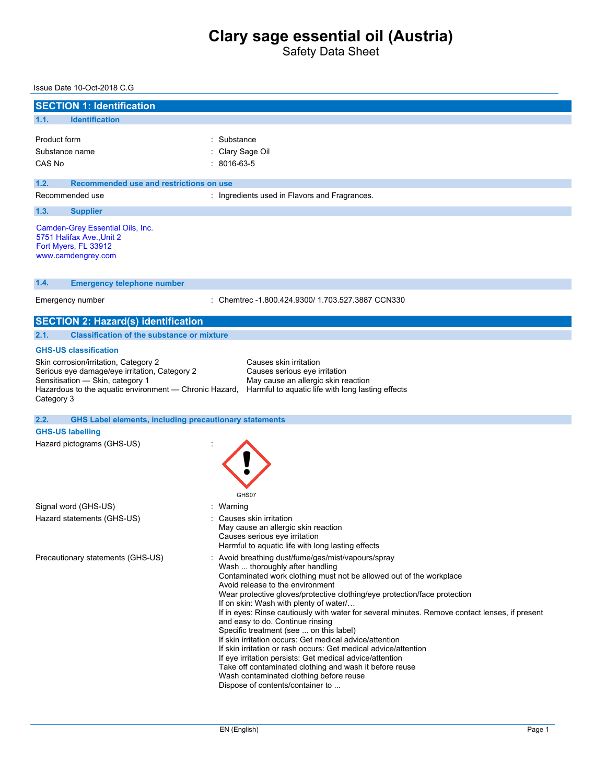Safety Data Sheet

### Issue Date 10-Oct-2018 C.G

| <b>SECTION 1: Identification</b>         |                                                                                                                                                                                                                      |                                                                                                                                                                                                                                                                                                                                                                                                                                                                                                                                                                                                                                                                                                                                                                                                                                            |  |  |  |
|------------------------------------------|----------------------------------------------------------------------------------------------------------------------------------------------------------------------------------------------------------------------|--------------------------------------------------------------------------------------------------------------------------------------------------------------------------------------------------------------------------------------------------------------------------------------------------------------------------------------------------------------------------------------------------------------------------------------------------------------------------------------------------------------------------------------------------------------------------------------------------------------------------------------------------------------------------------------------------------------------------------------------------------------------------------------------------------------------------------------------|--|--|--|
| 1.1.                                     | <b>Identification</b>                                                                                                                                                                                                |                                                                                                                                                                                                                                                                                                                                                                                                                                                                                                                                                                                                                                                                                                                                                                                                                                            |  |  |  |
| Product form<br>Substance name<br>CAS No |                                                                                                                                                                                                                      | Substance<br>Clary Sage Oil<br>$: 8016 - 63 - 5$                                                                                                                                                                                                                                                                                                                                                                                                                                                                                                                                                                                                                                                                                                                                                                                           |  |  |  |
| 1.2.                                     | Recommended use and restrictions on use                                                                                                                                                                              |                                                                                                                                                                                                                                                                                                                                                                                                                                                                                                                                                                                                                                                                                                                                                                                                                                            |  |  |  |
| Recommended use                          |                                                                                                                                                                                                                      | : Ingredients used in Flavors and Fragrances.                                                                                                                                                                                                                                                                                                                                                                                                                                                                                                                                                                                                                                                                                                                                                                                              |  |  |  |
| 1.3.                                     | <b>Supplier</b>                                                                                                                                                                                                      |                                                                                                                                                                                                                                                                                                                                                                                                                                                                                                                                                                                                                                                                                                                                                                                                                                            |  |  |  |
|                                          | Camden-Grey Essential Oils, Inc.<br>5751 Halifax Ave., Unit 2<br>Fort Myers, FL 33912<br>www.camdengrey.com                                                                                                          |                                                                                                                                                                                                                                                                                                                                                                                                                                                                                                                                                                                                                                                                                                                                                                                                                                            |  |  |  |
| 1.4.                                     | <b>Emergency telephone number</b>                                                                                                                                                                                    |                                                                                                                                                                                                                                                                                                                                                                                                                                                                                                                                                                                                                                                                                                                                                                                                                                            |  |  |  |
| Emergency number                         |                                                                                                                                                                                                                      | : Chemtrec -1.800.424.9300/ 1.703.527.3887 CCN330                                                                                                                                                                                                                                                                                                                                                                                                                                                                                                                                                                                                                                                                                                                                                                                          |  |  |  |
|                                          | <b>SECTION 2: Hazard(s) identification</b>                                                                                                                                                                           |                                                                                                                                                                                                                                                                                                                                                                                                                                                                                                                                                                                                                                                                                                                                                                                                                                            |  |  |  |
| 2.1.                                     | <b>Classification of the substance or mixture</b>                                                                                                                                                                    |                                                                                                                                                                                                                                                                                                                                                                                                                                                                                                                                                                                                                                                                                                                                                                                                                                            |  |  |  |
| Category 3                               | <b>GHS-US classification</b><br>Skin corrosion/irritation, Category 2<br>Serious eye damage/eye irritation, Category 2<br>Sensitisation - Skin, category 1<br>Hazardous to the aquatic environment — Chronic Hazard, | Causes skin irritation<br>Causes serious eye irritation<br>May cause an allergic skin reaction<br>Harmful to aquatic life with long lasting effects                                                                                                                                                                                                                                                                                                                                                                                                                                                                                                                                                                                                                                                                                        |  |  |  |
| 2.2.                                     | <b>GHS Label elements, including precautionary statements</b>                                                                                                                                                        |                                                                                                                                                                                                                                                                                                                                                                                                                                                                                                                                                                                                                                                                                                                                                                                                                                            |  |  |  |
| <b>GHS-US labelling</b>                  |                                                                                                                                                                                                                      |                                                                                                                                                                                                                                                                                                                                                                                                                                                                                                                                                                                                                                                                                                                                                                                                                                            |  |  |  |
|                                          | Hazard pictograms (GHS-US)                                                                                                                                                                                           | GHS07                                                                                                                                                                                                                                                                                                                                                                                                                                                                                                                                                                                                                                                                                                                                                                                                                                      |  |  |  |
|                                          | Signal word (GHS-US)                                                                                                                                                                                                 | : Warning                                                                                                                                                                                                                                                                                                                                                                                                                                                                                                                                                                                                                                                                                                                                                                                                                                  |  |  |  |
|                                          | Hazard statements (GHS-US)                                                                                                                                                                                           | Causes skin irritation<br>May cause an allergic skin reaction<br>Causes serious eye irritation<br>Harmful to aquatic life with long lasting effects                                                                                                                                                                                                                                                                                                                                                                                                                                                                                                                                                                                                                                                                                        |  |  |  |
|                                          | Precautionary statements (GHS-US)                                                                                                                                                                                    | Avoid breathing dust/fume/gas/mist/vapours/spray<br>Wash  thoroughly after handling<br>Contaminated work clothing must not be allowed out of the workplace<br>Avoid release to the environment<br>Wear protective gloves/protective clothing/eye protection/face protection<br>If on skin: Wash with plenty of water/<br>If in eyes: Rinse cautiously with water for several minutes. Remove contact lenses, if present<br>and easy to do. Continue rinsing<br>Specific treatment (see  on this label)<br>If skin irritation occurs: Get medical advice/attention<br>If skin irritation or rash occurs: Get medical advice/attention<br>If eye irritation persists: Get medical advice/attention<br>Take off contaminated clothing and wash it before reuse<br>Wash contaminated clothing before reuse<br>Dispose of contents/container to |  |  |  |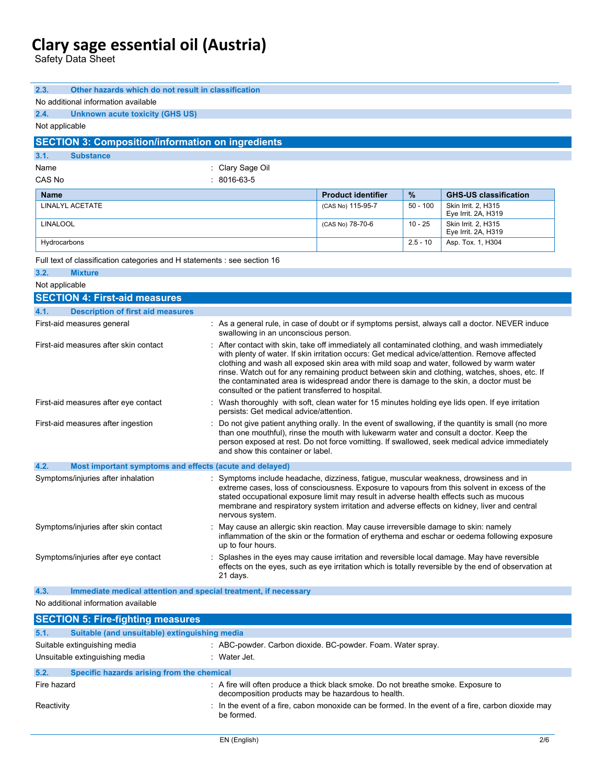Safety Data Sheet

| 2.3.<br>Other hazards which do not result in classification                                                                                                                                                                                                                                                                                                                                                                           |                                                                                                                                                                                                                                                                                                                                                                                                                                                                                                                                                |                           |            |                                                                                                      |  |
|---------------------------------------------------------------------------------------------------------------------------------------------------------------------------------------------------------------------------------------------------------------------------------------------------------------------------------------------------------------------------------------------------------------------------------------|------------------------------------------------------------------------------------------------------------------------------------------------------------------------------------------------------------------------------------------------------------------------------------------------------------------------------------------------------------------------------------------------------------------------------------------------------------------------------------------------------------------------------------------------|---------------------------|------------|------------------------------------------------------------------------------------------------------|--|
| No additional information available                                                                                                                                                                                                                                                                                                                                                                                                   |                                                                                                                                                                                                                                                                                                                                                                                                                                                                                                                                                |                           |            |                                                                                                      |  |
| 2.4.<br>Unknown acute toxicity (GHS US)                                                                                                                                                                                                                                                                                                                                                                                               |                                                                                                                                                                                                                                                                                                                                                                                                                                                                                                                                                |                           |            |                                                                                                      |  |
| Not applicable                                                                                                                                                                                                                                                                                                                                                                                                                        |                                                                                                                                                                                                                                                                                                                                                                                                                                                                                                                                                |                           |            |                                                                                                      |  |
| <b>SECTION 3: Composition/information on ingredients</b>                                                                                                                                                                                                                                                                                                                                                                              |                                                                                                                                                                                                                                                                                                                                                                                                                                                                                                                                                |                           |            |                                                                                                      |  |
| 3.1.<br><b>Substance</b>                                                                                                                                                                                                                                                                                                                                                                                                              |                                                                                                                                                                                                                                                                                                                                                                                                                                                                                                                                                |                           |            |                                                                                                      |  |
| Name                                                                                                                                                                                                                                                                                                                                                                                                                                  | : Clary Sage Oil                                                                                                                                                                                                                                                                                                                                                                                                                                                                                                                               |                           |            |                                                                                                      |  |
| CAS No                                                                                                                                                                                                                                                                                                                                                                                                                                | $: 8016-63-5$                                                                                                                                                                                                                                                                                                                                                                                                                                                                                                                                  |                           |            |                                                                                                      |  |
| <b>Name</b>                                                                                                                                                                                                                                                                                                                                                                                                                           |                                                                                                                                                                                                                                                                                                                                                                                                                                                                                                                                                | <b>Product identifier</b> | $\%$       | <b>GHS-US classification</b>                                                                         |  |
| LINALYL ACETATE                                                                                                                                                                                                                                                                                                                                                                                                                       |                                                                                                                                                                                                                                                                                                                                                                                                                                                                                                                                                | (CAS No) 115-95-7         | $50 - 100$ | Skin Irrit. 2, H315<br>Eye Irrit. 2A, H319                                                           |  |
| <b>LINALOOL</b>                                                                                                                                                                                                                                                                                                                                                                                                                       |                                                                                                                                                                                                                                                                                                                                                                                                                                                                                                                                                | (CAS No) 78-70-6          | $10 - 25$  | Skin Irrit. 2, H315<br>Eye Irrit. 2A, H319                                                           |  |
| Hydrocarbons                                                                                                                                                                                                                                                                                                                                                                                                                          |                                                                                                                                                                                                                                                                                                                                                                                                                                                                                                                                                |                           | $2.5 - 10$ | Asp. Tox. 1, H304                                                                                    |  |
| Full text of classification categories and H statements : see section 16                                                                                                                                                                                                                                                                                                                                                              |                                                                                                                                                                                                                                                                                                                                                                                                                                                                                                                                                |                           |            |                                                                                                      |  |
| 3.2.<br><b>Mixture</b>                                                                                                                                                                                                                                                                                                                                                                                                                |                                                                                                                                                                                                                                                                                                                                                                                                                                                                                                                                                |                           |            |                                                                                                      |  |
| Not applicable                                                                                                                                                                                                                                                                                                                                                                                                                        |                                                                                                                                                                                                                                                                                                                                                                                                                                                                                                                                                |                           |            |                                                                                                      |  |
| <b>SECTION 4: First-aid measures</b>                                                                                                                                                                                                                                                                                                                                                                                                  |                                                                                                                                                                                                                                                                                                                                                                                                                                                                                                                                                |                           |            |                                                                                                      |  |
| 4.1.<br><b>Description of first aid measures</b>                                                                                                                                                                                                                                                                                                                                                                                      |                                                                                                                                                                                                                                                                                                                                                                                                                                                                                                                                                |                           |            |                                                                                                      |  |
| First-aid measures general                                                                                                                                                                                                                                                                                                                                                                                                            | swallowing in an unconscious person.                                                                                                                                                                                                                                                                                                                                                                                                                                                                                                           |                           |            | : As a general rule, in case of doubt or if symptoms persist, always call a doctor. NEVER induce     |  |
| First-aid measures after skin contact                                                                                                                                                                                                                                                                                                                                                                                                 | : After contact with skin, take off immediately all contaminated clothing, and wash immediately<br>with plenty of water. If skin irritation occurs: Get medical advice/attention. Remove affected<br>clothing and wash all exposed skin area with mild soap and water, followed by warm water<br>rinse. Watch out for any remaining product between skin and clothing, watches, shoes, etc. If<br>the contaminated area is widespread andor there is damage to the skin, a doctor must be<br>consulted or the patient transferred to hospital. |                           |            |                                                                                                      |  |
| First-aid measures after eye contact                                                                                                                                                                                                                                                                                                                                                                                                  | persists: Get medical advice/attention.                                                                                                                                                                                                                                                                                                                                                                                                                                                                                                        |                           |            | Wash thoroughly with soft, clean water for 15 minutes holding eye lids open. If eye irritation       |  |
| First-aid measures after ingestion                                                                                                                                                                                                                                                                                                                                                                                                    | : Do not give patient anything orally. In the event of swallowing, if the quantity is small (no more<br>than one mouthful), rinse the mouth with lukewarm water and consult a doctor. Keep the<br>person exposed at rest. Do not force vomitting. If swallowed, seek medical advice immediately<br>and show this container or label.                                                                                                                                                                                                           |                           |            |                                                                                                      |  |
| 4.2.<br>Most important symptoms and effects (acute and delayed)                                                                                                                                                                                                                                                                                                                                                                       |                                                                                                                                                                                                                                                                                                                                                                                                                                                                                                                                                |                           |            |                                                                                                      |  |
| Symptoms/injuries after inhalation<br>Symptoms include headache, dizziness, fatigue, muscular weakness, drowsiness and in<br>extreme cases, loss of consciousness. Exposure to vapours from this solvent in excess of the<br>stated occupational exposure limit may result in adverse health effects such as mucous<br>membrane and respiratory system irritation and adverse effects on kidney, liver and central<br>nervous system. |                                                                                                                                                                                                                                                                                                                                                                                                                                                                                                                                                |                           |            |                                                                                                      |  |
| Symptoms/injuries after skin contact                                                                                                                                                                                                                                                                                                                                                                                                  | : May cause an allergic skin reaction. May cause irreversible damage to skin: namely<br>up to four hours.                                                                                                                                                                                                                                                                                                                                                                                                                                      |                           |            | inflammation of the skin or the formation of erythema and eschar or oedema following exposure        |  |
| Symptoms/injuries after eye contact                                                                                                                                                                                                                                                                                                                                                                                                   | Splashes in the eyes may cause irritation and reversible local damage. May have reversible<br>21 days.                                                                                                                                                                                                                                                                                                                                                                                                                                         |                           |            | effects on the eyes, such as eye irritation which is totally reversible by the end of observation at |  |
| 4.3.<br>Immediate medical attention and special treatment, if necessary                                                                                                                                                                                                                                                                                                                                                               |                                                                                                                                                                                                                                                                                                                                                                                                                                                                                                                                                |                           |            |                                                                                                      |  |
| No additional information available                                                                                                                                                                                                                                                                                                                                                                                                   |                                                                                                                                                                                                                                                                                                                                                                                                                                                                                                                                                |                           |            |                                                                                                      |  |
| <b>SECTION 5: Fire-fighting measures</b>                                                                                                                                                                                                                                                                                                                                                                                              |                                                                                                                                                                                                                                                                                                                                                                                                                                                                                                                                                |                           |            |                                                                                                      |  |
| Suitable (and unsuitable) extinguishing media<br>5.1.                                                                                                                                                                                                                                                                                                                                                                                 |                                                                                                                                                                                                                                                                                                                                                                                                                                                                                                                                                |                           |            |                                                                                                      |  |
| Suitable extinguishing media                                                                                                                                                                                                                                                                                                                                                                                                          | : ABC-powder. Carbon dioxide. BC-powder. Foam. Water spray.                                                                                                                                                                                                                                                                                                                                                                                                                                                                                    |                           |            |                                                                                                      |  |
| Unsuitable extinguishing media                                                                                                                                                                                                                                                                                                                                                                                                        | : Water Jet.                                                                                                                                                                                                                                                                                                                                                                                                                                                                                                                                   |                           |            |                                                                                                      |  |
| 5.2.<br>Specific hazards arising from the chemical                                                                                                                                                                                                                                                                                                                                                                                    |                                                                                                                                                                                                                                                                                                                                                                                                                                                                                                                                                |                           |            |                                                                                                      |  |
| Fire hazard                                                                                                                                                                                                                                                                                                                                                                                                                           | : A fire will often produce a thick black smoke. Do not breathe smoke. Exposure to<br>decomposition products may be hazardous to health.                                                                                                                                                                                                                                                                                                                                                                                                       |                           |            |                                                                                                      |  |
| Reactivity                                                                                                                                                                                                                                                                                                                                                                                                                            | be formed.                                                                                                                                                                                                                                                                                                                                                                                                                                                                                                                                     |                           |            | : In the event of a fire, cabon monoxide can be formed. In the event of a fire, carbon dioxide may   |  |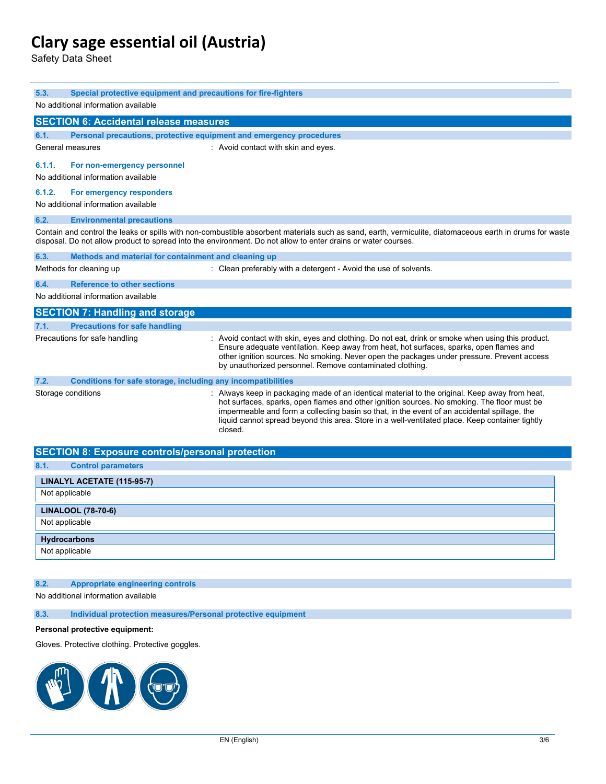Safety Data Sheet

| 5.3.<br>Special protective equipment and precautions for fire-fighters                                                                                                                                                                                                    |                                                                                                                                                                                                                                                                                                                                                                                                             |  |  |  |  |
|---------------------------------------------------------------------------------------------------------------------------------------------------------------------------------------------------------------------------------------------------------------------------|-------------------------------------------------------------------------------------------------------------------------------------------------------------------------------------------------------------------------------------------------------------------------------------------------------------------------------------------------------------------------------------------------------------|--|--|--|--|
| No additional information available                                                                                                                                                                                                                                       |                                                                                                                                                                                                                                                                                                                                                                                                             |  |  |  |  |
| <b>SECTION 6: Accidental release measures</b>                                                                                                                                                                                                                             |                                                                                                                                                                                                                                                                                                                                                                                                             |  |  |  |  |
| 6.1.<br>Personal precautions, protective equipment and emergency procedures                                                                                                                                                                                               |                                                                                                                                                                                                                                                                                                                                                                                                             |  |  |  |  |
| General measures                                                                                                                                                                                                                                                          | : Avoid contact with skin and eyes.                                                                                                                                                                                                                                                                                                                                                                         |  |  |  |  |
| 6.1.1.<br>For non-emergency personnel<br>No additional information available                                                                                                                                                                                              |                                                                                                                                                                                                                                                                                                                                                                                                             |  |  |  |  |
| 6.1.2.<br>For emergency responders<br>No additional information available                                                                                                                                                                                                 |                                                                                                                                                                                                                                                                                                                                                                                                             |  |  |  |  |
| 6.2.<br><b>Environmental precautions</b>                                                                                                                                                                                                                                  |                                                                                                                                                                                                                                                                                                                                                                                                             |  |  |  |  |
| Contain and control the leaks or spills with non-combustible absorbent materials such as sand, earth, vermiculite, diatomaceous earth in drums for waste<br>disposal. Do not allow product to spread into the environment. Do not allow to enter drains or water courses. |                                                                                                                                                                                                                                                                                                                                                                                                             |  |  |  |  |
| Methods and material for containment and cleaning up<br>6.3.                                                                                                                                                                                                              |                                                                                                                                                                                                                                                                                                                                                                                                             |  |  |  |  |
| Methods for cleaning up                                                                                                                                                                                                                                                   | : Clean preferably with a detergent - Avoid the use of solvents.                                                                                                                                                                                                                                                                                                                                            |  |  |  |  |
| <b>Reference to other sections</b><br>6.4.                                                                                                                                                                                                                                |                                                                                                                                                                                                                                                                                                                                                                                                             |  |  |  |  |
| No additional information available                                                                                                                                                                                                                                       |                                                                                                                                                                                                                                                                                                                                                                                                             |  |  |  |  |
| <b>SECTION 7: Handling and storage</b>                                                                                                                                                                                                                                    |                                                                                                                                                                                                                                                                                                                                                                                                             |  |  |  |  |
| <b>Precautions for safe handling</b><br>7.1.                                                                                                                                                                                                                              |                                                                                                                                                                                                                                                                                                                                                                                                             |  |  |  |  |
| Precautions for safe handling                                                                                                                                                                                                                                             | : Avoid contact with skin, eyes and clothing. Do not eat, drink or smoke when using this product.<br>Ensure adequate ventilation. Keep away from heat, hot surfaces, sparks, open flames and<br>other ignition sources. No smoking. Never open the packages under pressure. Prevent access<br>by unauthorized personnel. Remove contaminated clothing.                                                      |  |  |  |  |
| Conditions for safe storage, including any incompatibilities<br>7.2.                                                                                                                                                                                                      |                                                                                                                                                                                                                                                                                                                                                                                                             |  |  |  |  |
| Storage conditions                                                                                                                                                                                                                                                        | : Always keep in packaging made of an identical material to the original. Keep away from heat,<br>hot surfaces, sparks, open flames and other ignition sources. No smoking. The floor must be<br>impermeable and form a collecting basin so that, in the event of an accidental spillage, the<br>liquid cannot spread beyond this area. Store in a well-ventilated place. Keep container tightly<br>closed. |  |  |  |  |

| <b>SECTION 8: Exposure controls/personal protection</b> |  |  |
|---------------------------------------------------------|--|--|
| 8.1.<br><b>Control parameters</b>                       |  |  |
| LINALYL ACETATE (115-95-7)                              |  |  |
| Not applicable                                          |  |  |
| <b>LINALOOL (78-70-6)</b>                               |  |  |
| Not applicable                                          |  |  |
| Hydrocarbons                                            |  |  |
| Not applicable                                          |  |  |

### **8.2. Appropriate engineering controls**

No additional information available

**8.3. Individual protection measures/Personal protective equipment**

### **Personal protective equipment:**

Gloves. Protective clothing. Protective goggles.

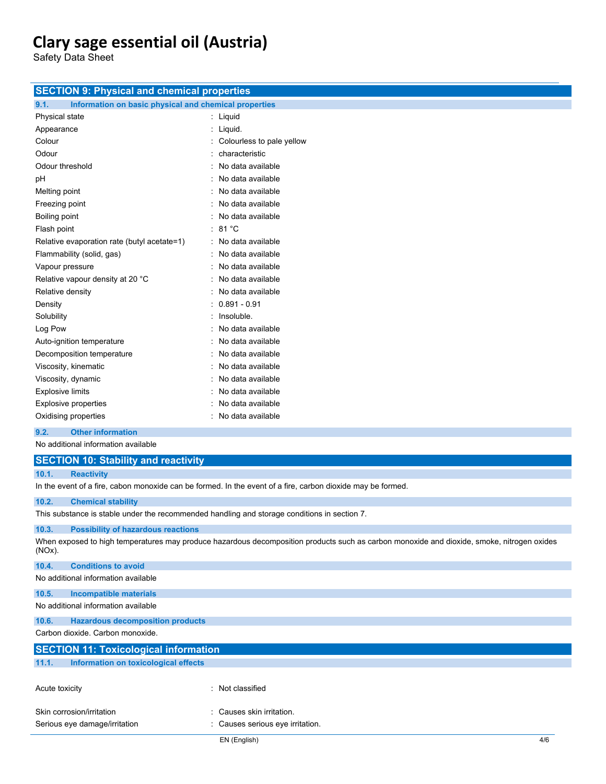**SECTION 9: Physical and chemical properties**

Safety Data Sheet

| 9.1.<br>Information on basic physical and chemical properties                                |                                                                                                                                            |  |  |  |
|----------------------------------------------------------------------------------------------|--------------------------------------------------------------------------------------------------------------------------------------------|--|--|--|
| Physical state                                                                               | : Liquid                                                                                                                                   |  |  |  |
| Appearance                                                                                   | : Liquid.                                                                                                                                  |  |  |  |
| Colour                                                                                       | Colourless to pale yellow                                                                                                                  |  |  |  |
| Odour                                                                                        | characteristic                                                                                                                             |  |  |  |
| Odour threshold                                                                              | No data available                                                                                                                          |  |  |  |
| рH                                                                                           | : No data available                                                                                                                        |  |  |  |
| Melting point                                                                                | : No data available                                                                                                                        |  |  |  |
| Freezing point                                                                               | : No data available                                                                                                                        |  |  |  |
| Boiling point                                                                                | No data available                                                                                                                          |  |  |  |
| Flash point                                                                                  | : 81 °C                                                                                                                                    |  |  |  |
| Relative evaporation rate (butyl acetate=1)                                                  | : No data available                                                                                                                        |  |  |  |
| Flammability (solid, gas)                                                                    | : No data available                                                                                                                        |  |  |  |
| Vapour pressure                                                                              | : No data available                                                                                                                        |  |  |  |
| Relative vapour density at 20 °C                                                             | : No data available                                                                                                                        |  |  |  |
| Relative density                                                                             | : No data available                                                                                                                        |  |  |  |
| Density                                                                                      | $: 0.891 - 0.91$                                                                                                                           |  |  |  |
| Solubility                                                                                   | : Insoluble.                                                                                                                               |  |  |  |
| Log Pow                                                                                      | : No data available                                                                                                                        |  |  |  |
| Auto-ignition temperature                                                                    | No data available                                                                                                                          |  |  |  |
| Decomposition temperature                                                                    | No data available                                                                                                                          |  |  |  |
| Viscosity, kinematic                                                                         | No data available                                                                                                                          |  |  |  |
| Viscosity, dynamic                                                                           | No data available                                                                                                                          |  |  |  |
| <b>Explosive limits</b>                                                                      | No data available                                                                                                                          |  |  |  |
| <b>Explosive properties</b>                                                                  | : No data available                                                                                                                        |  |  |  |
| Oxidising properties                                                                         | : No data available                                                                                                                        |  |  |  |
| 9.2.<br><b>Other information</b>                                                             |                                                                                                                                            |  |  |  |
| No additional information available                                                          |                                                                                                                                            |  |  |  |
|                                                                                              |                                                                                                                                            |  |  |  |
| <b>SECTION 10: Stability and reactivity</b>                                                  |                                                                                                                                            |  |  |  |
| 10.1.<br><b>Reactivity</b>                                                                   |                                                                                                                                            |  |  |  |
|                                                                                              | In the event of a fire, cabon monoxide can be formed. In the event of a fire, carbon dioxide may be formed.                                |  |  |  |
| 10.2.<br><b>Chemical stability</b>                                                           |                                                                                                                                            |  |  |  |
| This substance is stable under the recommended handling and storage conditions in section 7. |                                                                                                                                            |  |  |  |
| 10.3.<br><b>Possibility of hazardous reactions</b>                                           |                                                                                                                                            |  |  |  |
| $(NOx)$ .                                                                                    | When exposed to high temperatures may produce hazardous decomposition products such as carbon monoxide and dioxide, smoke, nitrogen oxides |  |  |  |
| 10.4.<br><b>Conditions to avoid</b>                                                          |                                                                                                                                            |  |  |  |
| No additional information available                                                          |                                                                                                                                            |  |  |  |
| 10.5.<br><b>Incompatible materials</b>                                                       |                                                                                                                                            |  |  |  |
| No additional information available                                                          |                                                                                                                                            |  |  |  |
| 10.6.<br><b>Hazardous decomposition products</b>                                             |                                                                                                                                            |  |  |  |
| Carbon dioxide. Carbon monoxide.                                                             |                                                                                                                                            |  |  |  |
| <b>SECTION 11: Toxicological information</b>                                                 |                                                                                                                                            |  |  |  |
| 11.1.<br>Information on toxicological effects                                                |                                                                                                                                            |  |  |  |
| Acute toxicity                                                                               | : Not classified                                                                                                                           |  |  |  |
| Skin corrosion/irritation                                                                    | Causes skin irritation.                                                                                                                    |  |  |  |
| Serious eye damage/irritation                                                                | Causes serious eye irritation.                                                                                                             |  |  |  |
|                                                                                              | EN (English)<br>4/6                                                                                                                        |  |  |  |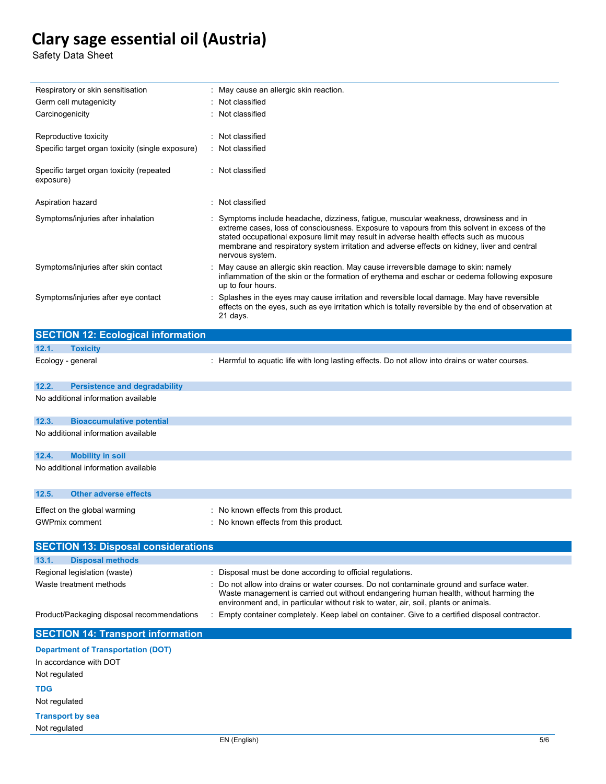Safety Data Sheet

| Respiratory or skin sensitisation                                                    | May cause an allergic skin reaction.                                                                                                                                                                                                                                                                                                                                                              |
|--------------------------------------------------------------------------------------|---------------------------------------------------------------------------------------------------------------------------------------------------------------------------------------------------------------------------------------------------------------------------------------------------------------------------------------------------------------------------------------------------|
| Germ cell mutagenicity                                                               | Not classified                                                                                                                                                                                                                                                                                                                                                                                    |
| Carcinogenicity                                                                      | Not classified                                                                                                                                                                                                                                                                                                                                                                                    |
| Reproductive toxicity                                                                | : Not classified                                                                                                                                                                                                                                                                                                                                                                                  |
| Specific target organ toxicity (single exposure)                                     | : Not classified                                                                                                                                                                                                                                                                                                                                                                                  |
| Specific target organ toxicity (repeated<br>exposure)                                | : Not classified                                                                                                                                                                                                                                                                                                                                                                                  |
| Aspiration hazard                                                                    | : Not classified                                                                                                                                                                                                                                                                                                                                                                                  |
| Symptoms/injuries after inhalation                                                   | : Symptoms include headache, dizziness, fatigue, muscular weakness, drowsiness and in<br>extreme cases, loss of consciousness. Exposure to vapours from this solvent in excess of the<br>stated occupational exposure limit may result in adverse health effects such as mucous<br>membrane and respiratory system irritation and adverse effects on kidney, liver and central<br>nervous system. |
| Symptoms/injuries after skin contact                                                 | May cause an allergic skin reaction. May cause irreversible damage to skin: namely<br>inflammation of the skin or the formation of erythema and eschar or oedema following exposure<br>up to four hours.                                                                                                                                                                                          |
| Symptoms/injuries after eye contact                                                  | Splashes in the eyes may cause irritation and reversible local damage. May have reversible<br>effects on the eyes, such as eye irritation which is totally reversible by the end of observation at<br>21 days.                                                                                                                                                                                    |
| <b>SECTION 12: Ecological information</b>                                            |                                                                                                                                                                                                                                                                                                                                                                                                   |
| 12.1.<br><b>Toxicity</b>                                                             |                                                                                                                                                                                                                                                                                                                                                                                                   |
| Ecology - general                                                                    | : Harmful to aquatic life with long lasting effects. Do not allow into drains or water courses.                                                                                                                                                                                                                                                                                                   |
|                                                                                      |                                                                                                                                                                                                                                                                                                                                                                                                   |
| 12.2.<br><b>Persistence and degradability</b><br>No additional information available |                                                                                                                                                                                                                                                                                                                                                                                                   |
|                                                                                      |                                                                                                                                                                                                                                                                                                                                                                                                   |
| 12.3.<br><b>Bioaccumulative potential</b>                                            |                                                                                                                                                                                                                                                                                                                                                                                                   |
| No additional information available                                                  |                                                                                                                                                                                                                                                                                                                                                                                                   |
| 12.4.<br><b>Mobility in soil</b>                                                     |                                                                                                                                                                                                                                                                                                                                                                                                   |
| No additional information available                                                  |                                                                                                                                                                                                                                                                                                                                                                                                   |
|                                                                                      |                                                                                                                                                                                                                                                                                                                                                                                                   |
| 12.5.<br><b>Other adverse effects</b>                                                |                                                                                                                                                                                                                                                                                                                                                                                                   |
| Effect on the global warming                                                         | : No known effects from this product.                                                                                                                                                                                                                                                                                                                                                             |
| <b>GWPmix comment</b>                                                                | : No known effects from this product.                                                                                                                                                                                                                                                                                                                                                             |
|                                                                                      |                                                                                                                                                                                                                                                                                                                                                                                                   |
| <b>SECTION 13: Disposal considerations</b>                                           |                                                                                                                                                                                                                                                                                                                                                                                                   |
| 13.1.<br><b>Disposal methods</b>                                                     |                                                                                                                                                                                                                                                                                                                                                                                                   |
| Regional legislation (waste)                                                         | : Disposal must be done according to official regulations.                                                                                                                                                                                                                                                                                                                                        |
| Waste treatment methods                                                              | Do not allow into drains or water courses. Do not contaminate ground and surface water.<br>Waste management is carried out without endangering human health, without harming the<br>environment and, in particular without risk to water, air, soil, plants or animals.                                                                                                                           |
| Product/Packaging disposal recommendations                                           | : Empty container completely. Keep label on container. Give to a certified disposal contractor.                                                                                                                                                                                                                                                                                                   |
| <b>SECTION 14: Transport information</b>                                             |                                                                                                                                                                                                                                                                                                                                                                                                   |
| <b>Department of Transportation (DOT)</b>                                            |                                                                                                                                                                                                                                                                                                                                                                                                   |
| In accordance with DOT                                                               |                                                                                                                                                                                                                                                                                                                                                                                                   |

Not regulated

**TDG**

Not regulated

**Transport by sea** Not regulated